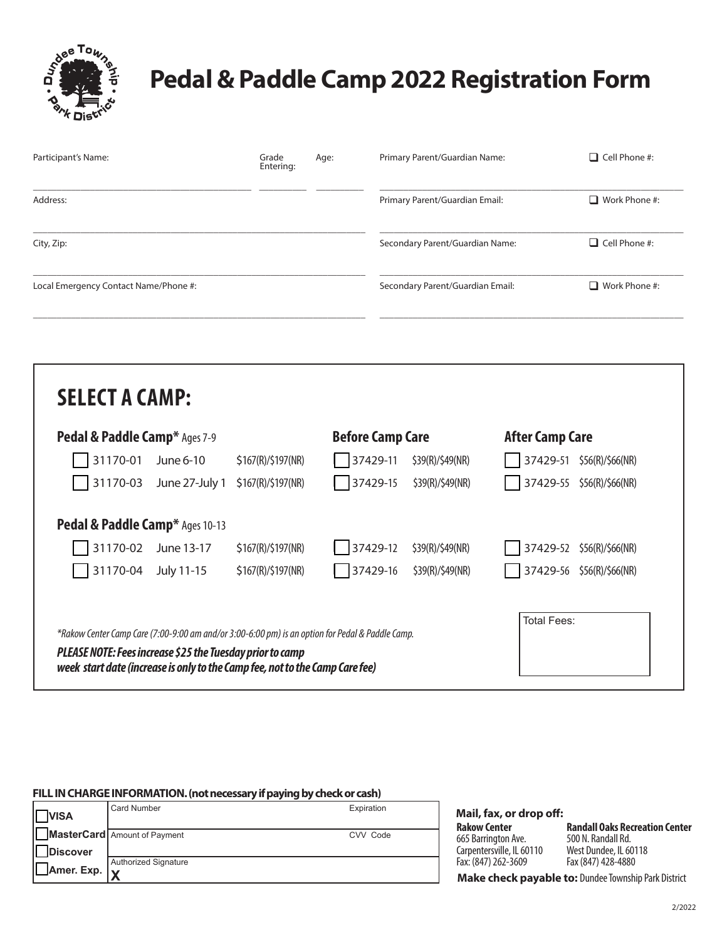

## **Pedal & Paddle Camp 2022 Registration Form**

| Participant's Name:                   | Grade<br>Entering: | Age: | Primary Parent/Guardian Name:    | $\Box$ Cell Phone #: |
|---------------------------------------|--------------------|------|----------------------------------|----------------------|
| Address:                              |                    |      | Primary Parent/Guardian Email:   | $\Box$ Work Phone #: |
| City, Zip:                            |                    |      | Secondary Parent/Guardian Name:  | $\Box$ Cell Phone #: |
| Local Emergency Contact Name/Phone #: |                    |      | Secondary Parent/Guardian Email: | $\Box$ Work Phone #: |

| <b>Pedal &amp; Paddle Camp*</b> Ages 7-9                                                         |                                 | <b>Before Camp Care</b> |          | <b>After Camp Care</b> |                              |
|--------------------------------------------------------------------------------------------------|---------------------------------|-------------------------|----------|------------------------|------------------------------|
| 31170-01                                                                                         | June 6-10                       | \$167(R)/\$197(NR)      | 37429-11 | \$39(R)/\$49(NR)       | 37429-51<br>\$56(R)/\$66(NR) |
| 31170-03                                                                                         | June 27-July 1                  | \$167(R)/\$197(NR)      | 37429-15 | \$39(R)/\$49(NR)       | 37429-55<br>\$56(R)/\$66(NR) |
|                                                                                                  | Pedal & Paddle Camp* Ages 10-13 |                         |          |                        |                              |
| 31170-02                                                                                         | June 13-17                      | \$167(R)/\$197(NR)      | 37429-12 | \$39(R)/\$49(NR)       | 37429-52<br>\$56(R)/\$66(NR) |
| 31170-04                                                                                         | July 11-15                      | \$167(R)/\$197(NR)      | 37429-16 | \$39(R)/\$49(NR)       | 37429-56<br>\$56(R)/\$66(NR) |
| *Rakow Center Camp Care (7:00-9:00 am and/or 3:00-6:00 pm) is an option for Pedal & Paddle Camp. |                                 |                         |          |                        | Total Fees:                  |

## **FILL IN CHARGE INFORMATION. (not necessary if paying by check or cash)**

| <b>VISA</b>    | Card Number                  | Expiration |
|----------------|------------------------------|------------|
|                | MasterCard Amount of Payment | CVV Code   |
| Discover       |                              |            |
|                | <b>Authorized Signature</b>  |            |
| Amer. Exp.   v |                              |            |

**Mail, fax, or drop off:** 

**Rakow Center**  665 Barrington Ave. Carpentersville, IL 60110 Fax: (847) 262-3609

**Randall Oaks Recreation Center** 500 N. Randall Rd. West Dundee, IL 60118 Fax (847) 428-4880

**Make check payable to:** Dundee Township Park District